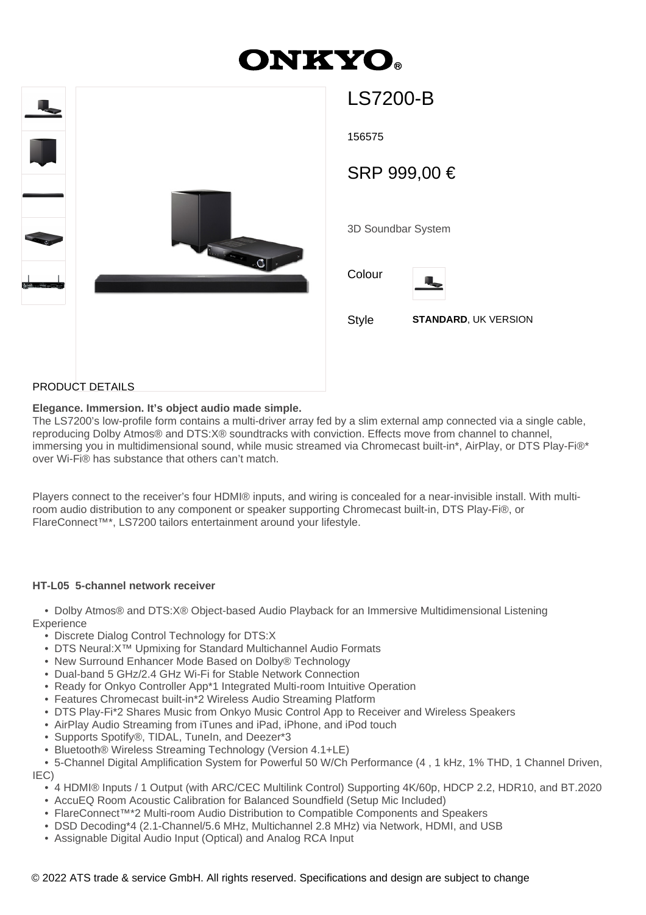# ONKY(



| LS/200-B           |                             |  |
|--------------------|-----------------------------|--|
| 156575             |                             |  |
| SRP 999,00 €       |                             |  |
|                    |                             |  |
| 3D Soundbar System |                             |  |
|                    |                             |  |
| Colour             |                             |  |
| <b>Style</b>       | <b>STANDARD, UK VERSION</b> |  |
|                    |                             |  |
|                    |                             |  |

## PRODUCT DETAILS

### **Elegance. Immersion. It's object audio made simple.**

The LS7200's low-profile form contains a multi-driver array fed by a slim external amp connected via a single cable, reproducing Dolby Atmos® and DTS:X® soundtracks with conviction. Effects move from channel to channel, immersing you in multidimensional sound, while music streamed via Chromecast built-in\*, AirPlay, or DTS Play-Fi®\* over Wi-Fi® has substance that others can't match.

Players connect to the receiver's four HDMI® inputs, and wiring is concealed for a near-invisible install. With multiroom audio distribution to any component or speaker supporting Chromecast built-in, DTS Play-Fi®, or FlareConnect™\*, LS7200 tailors entertainment around your lifestyle.

#### **HT-L05 5-channel network receiver**

 • Dolby Atmos® and DTS:X® Object-based Audio Playback for an Immersive Multidimensional Listening **Experience** 

- Discrete Dialog Control Technology for DTS:X
- DTS Neural:X™ Upmixing for Standard Multichannel Audio Formats
- New Surround Enhancer Mode Based on Dolby® Technology
- Dual-band 5 GHz/2.4 GHz Wi-Fi for Stable Network Connection
- Ready for Onkyo Controller App\*1 Integrated Multi-room Intuitive Operation
- Features Chromecast built-in\*2 Wireless Audio Streaming Platform
- DTS Play-Fi\*2 Shares Music from Onkyo Music Control App to Receiver and Wireless Speakers
- AirPlay Audio Streaming from iTunes and iPad, iPhone, and iPod touch
- Supports Spotify®, TIDAL, TuneIn, and Deezer\*3
- Bluetooth® Wireless Streaming Technology (Version 4.1+LE)

 • 5-Channel Digital Amplification System for Powerful 50 W/Ch Performance (4 , 1 kHz, 1% THD, 1 Channel Driven, IEC)

- 4 HDMI® Inputs / 1 Output (with ARC/CEC Multilink Control) Supporting 4K/60p, HDCP 2.2, HDR10, and BT.2020
- AccuEQ Room Acoustic Calibration for Balanced Soundfield (Setup Mic Included)
- FlareConnect™\*2 Multi-room Audio Distribution to Compatible Components and Speakers
- DSD Decoding\*4 (2.1-Channel/5.6 MHz, Multichannel 2.8 MHz) via Network, HDMI, and USB
- Assignable Digital Audio Input (Optical) and Analog RCA Input